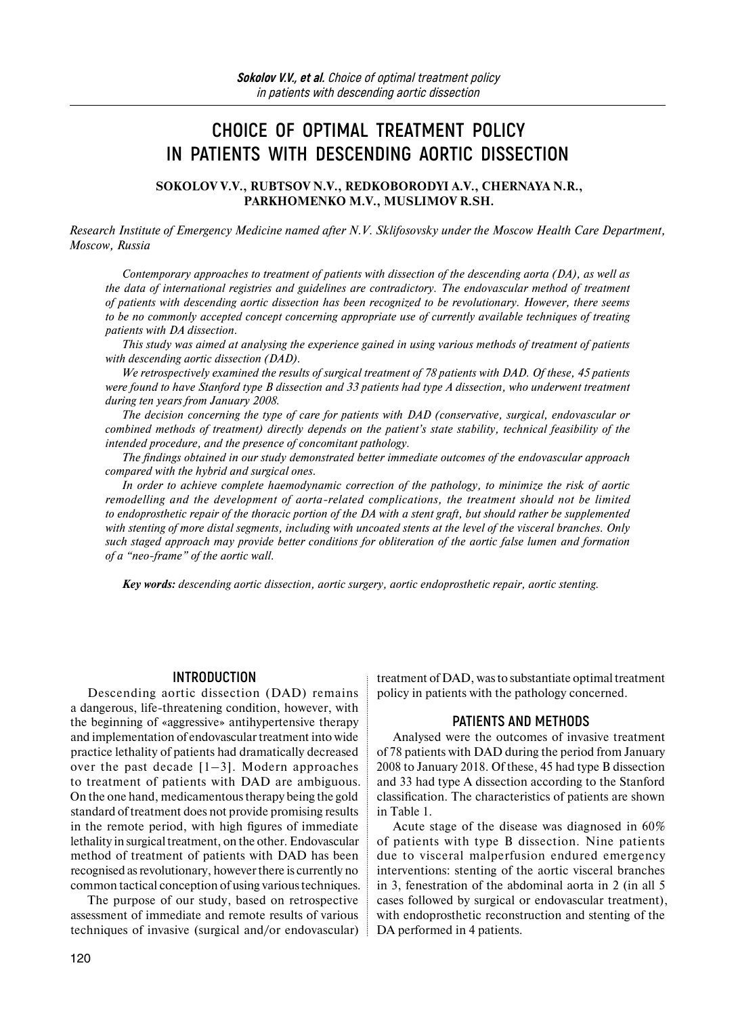# **CHOICE OF OPTIMAL TREATMENT POLICY IN PATIENTS WITH DESCENDING AORTIC DISSECTION**

**SOKOLOV V.V., RUBTSOV N.V., REDKOBORODYI A.V., CHERNAYA N.R., PARKHOMENKO M.V., MUSLIMOV R.SH.**

*Research Institute of Emergency Medicine named after N.V. Sklifosovsky under the Moscow Health Care Department, Moscow, Russia* 

*Contemporary approaches to treatment of patients with dissection of the descending aorta (DA), as well as the data of international registries and guidelines are contradictory. The endovascular method of treatment of patients with descending aortic dissection has been recognized to be revolutionary. However, there seems to be no commonly accepted concept concerning appropriate use of currently available techniques of treating patients with DA dissection.* 

*This study was aimed at analysing the experience gained in using various methods of treatment of patients with descending aortic dissection (DAD).* 

*We retrospectively examined the results of surgical treatment of 78 patients with DAD. Of these, 45 patients were found to have Stanford type B dissection and 33 patients had type A dissection, who underwent treatment during ten years from January 2008.* 

*The decision concerning the type of care for patients with DAD (conservative, surgical, endovascular or combined methods of treatment) directly depends on the patient's state stability, technical feasibility of the intended procedure, and the presence of concomitant pathology.*

*The findings obtained in our study demonstrated better immediate outcomes of the endovascular approach compared with the hybrid and surgical ones.*

*In order to achieve complete haemodynamic correction of the pathology, to minimize the risk of aortic remodelling and the development of aorta-related complications, the treatment should not be limited to endoprosthetic repair of the thoracic portion of the DA with a stent graft, but should rather be supplemented with stenting of more distal segments, including with uncoated stents at the level of the visceral branches. Only such staged approach may provide better conditions for obliteration of the aortic false lumen and formation of a "neo-frame" of the aortic wall.*

*Key words: descending aortic dissection, aortic surgery, aortic endoprosthetic repair, aortic stenting.* 

#### **INTRODUCTION**

Descending aortic dissection (DAD) remains a dangerous, life-threatening condition, however, with the beginning of «aggressive» antihypertensive therapy and implementation of endovascular treatment into wide practice lethality of patients had dramatically decreased over the past decade  $[1-3]$ . Modern approaches to treatment of patients with DAD are ambiguous. On the one hand, medicamentous therapy being the gold standard of treatment does not provide promising results in the remote period, with high figures of immediate lethality in surgical treatment, on the other. Endovascular method of treatment of patients with DAD has been recognised as revolutionary, however there is currently no common tactical conception of using various techniques.

The purpose of our study, based on retrospective assessment of immediate and remote results of various techniques of invasive (surgical and/or endovascular)

120

treatment of DAD, was to substantiate optimal treatment policy in patients with the pathology concerned.

#### **PATIENTS AND METHODS**

Analysed were the outcomes of invasive treatment of 78 patients with DAD during the period from January 2008 to January 2018. Of these, 45 had type B dissection and 33 had type A dissection according to the Stanford classification. The characteristics of patients are shown in Table 1.

Acute stage of the disease was diagnosed in 60% of patients with type B dissection. Nine patients due to visceral malperfusion endured emergency interventions: stenting of the aortic visceral branches in 3, fenestration of the abdominal aorta in 2 (in all 5 cases followed by surgical or endovascular treatment), with endoprosthetic reconstruction and stenting of the DA performed in 4 patients.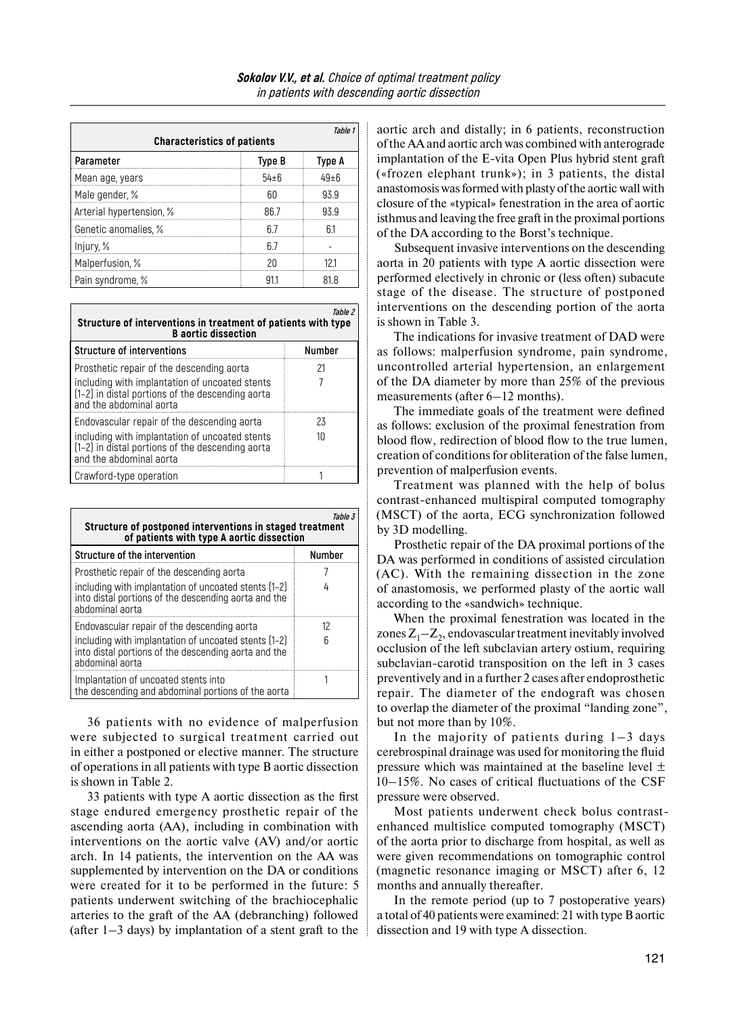| Table 1<br><b>Characteristics of patients</b> |        |            |  |  |
|-----------------------------------------------|--------|------------|--|--|
| Parameter                                     | Type B | Type A     |  |  |
| Mean age, years                               | 54+6   | $49 \pm 6$ |  |  |
| Male gender, %                                | ĥП     | 939        |  |  |
| Arterial hypertension, %                      | 86 7   | 93 Q       |  |  |
| Genetic anomalies, %                          |        | h1         |  |  |
| Injury, %                                     | h /    |            |  |  |
| Malperfusion, %                               | 2Π     |            |  |  |
| Pain syndrome, %                              |        | 81 S       |  |  |

| Table 2<br>Structure of interventions in treatment of patients with type<br><b>B</b> aortic dissection |        |  |  |
|--------------------------------------------------------------------------------------------------------|--------|--|--|
| <b>Structure of interventions</b>                                                                      | Number |  |  |

| Prosthetic repair of the descending aorta<br>including with implantation of uncoated stents<br>[1-2] in distal portions of the descending aorta<br><b>l</b> and the abdominal aorta     |            |
|-----------------------------------------------------------------------------------------------------------------------------------------------------------------------------------------|------------|
| l Endovascular repair of the descending aorta<br>including with implantation of uncoated stents<br>(1-2) in distal portions of the descending aorta<br><b>l</b> and the abdominal aorta | 23<br>11 1 |
| Crawford-type operation                                                                                                                                                                 |            |

| Table 3<br>Structure of postponed interventions in staged treatment<br>of patients with type A aortic dissection                |               |  |  |  |
|---------------------------------------------------------------------------------------------------------------------------------|---------------|--|--|--|
| Structure of the intervention                                                                                                   | <b>Number</b> |  |  |  |
| Prosthetic repair of the descending aorta                                                                                       |               |  |  |  |
| including with implantation of uncoated stents (1-2)<br>into distal portions of the descending aorta and the<br>abdominal aorta |               |  |  |  |
| Endovascular repair of the descending aorta                                                                                     | 12            |  |  |  |
| including with implantation of uncoated stents (1-2)<br>into distal portions of the descending aorta and the<br>ahdominal aorta |               |  |  |  |
| Implantation of uncoated stents into<br>the descending and abdominal portions of the aorta                                      |               |  |  |  |

36 patients with no evidence of malperfusion were subjected to surgical treatment carried out in either a postponed or elective manner. The structure of operations in all patients with type B aortic dissection is shown in Table 2.

33 patients with type A aortic dissection as the first stage endured emergency prosthetic repair of the ascending aorta (AA), including in combination with interventions on the aortic valve (AV) and/or aortic arch. In 14 patients, the intervention on the AA was supplemented by intervention on the DA or conditions were created for it to be performed in the future: 5 patients underwent switching of the brachiocephalic arteries to the graft of the AA (debranching) followed (after  $1-3$  days) by implantation of a stent graft to the

aortic arch and distally; in 6 patients, reconstruction of the AA and aortic arch was combined with anterograde implantation of the E-vita Open Plus hybrid stent graft («frozen elephant trunk»); in 3 patients, the distal anastomosis was formed with plasty of the aortic wall with closure of the «typical» fenestration in the area of aortic isthmus and leaving the free graft in the proximal portions of the DA according to the Borst's technique.

Subsequent invasive interventions on the descending aorta in 20 patients with type A aortic dissection were performed electively in chronic or (less often) subacute stage of the disease. The structure of postponed interventions on the descending portion of the aorta is shown in Table 3.

The indications for invasive treatment of DAD were as follows: malperfusion syndrome, pain syndrome, uncontrolled arterial hypertension, an enlargement of the DA diameter by more than 25% of the previous measurements (after 6–12 months).

The immediate goals of the treatment were defined as follows: exclusion of the proximal fenestration from blood flow, redirection of blood flow to the true lumen, creation of conditions for obliteration of the false lumen, prevention of malperfusion events.

Treatment was planned with the help of bolus contrast-enhanced multispiral computed tomography (MSCT) of the aorta, ECG synchronization followed by 3D modelling.

Prosthetic repair of the DA proximal portions of the DA was performed in conditions of assisted circulation (AC). With the remaining dissection in the zone of anastomosis, we performed plasty of the aortic wall according to the «sandwich» technique.

When the proximal fenestration was located in the zones  $Z_1 - Z_2$ , endovascular treatment inevitably involved occlusion of the left subclavian artery ostium, requiring subclavian-carotid transposition on the left in 3 cases preventively and in a further 2 cases after endoprosthetic repair. The diameter of the endograft was chosen to overlap the diameter of the proximal "landing zone", but not more than by 10%.

In the majority of patients during  $1-3$  days cerebrospinal drainage was used for monitoring the fluid pressure which was maintained at the baseline level  $\pm$ 10–15%. No cases of critical fluctuations of the CSF pressure were observed.

Most patients underwent check bolus contrastenhanced multislice computed tomography (MSCT) of the aorta prior to discharge from hospital, as well as were given recommendations on tomographic control (magnetic resonance imaging or MSCT) after 6, 12 months and annually thereafter.

In the remote period (up to 7 postoperative years) a total of 40 patients were examined: 21 with type B aortic dissection and 19 with type A dissection.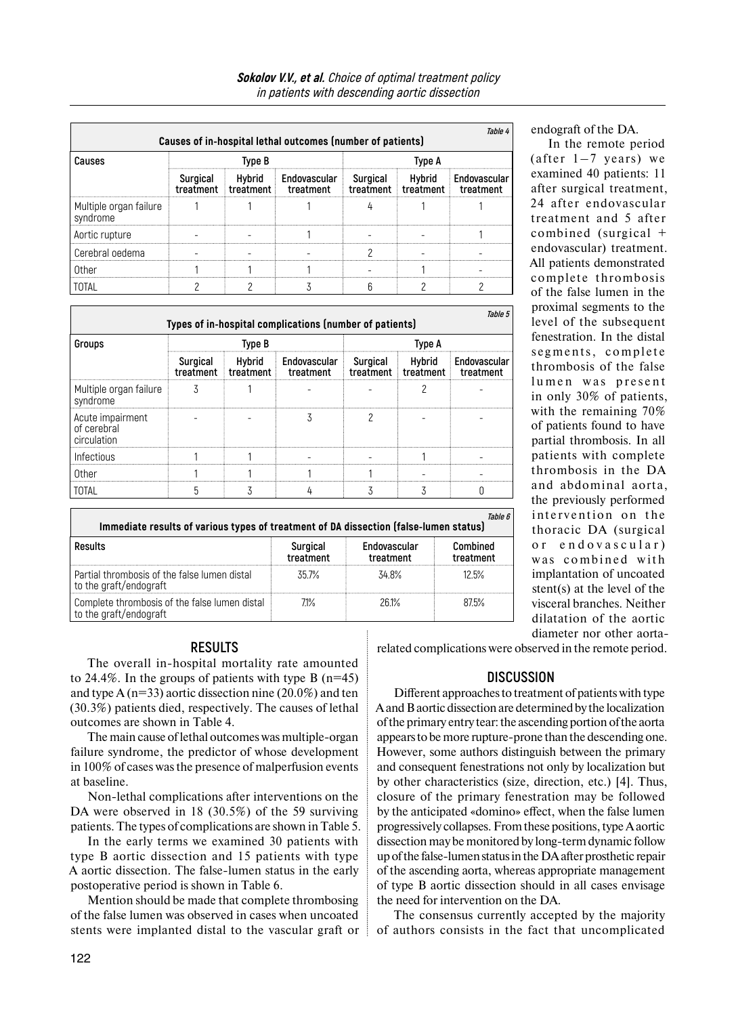|                                    |        |  | Causes of in-hospital lethal outcomes (number of patients)                                                               |  | Tahle 4 |        |  |
|------------------------------------|--------|--|--------------------------------------------------------------------------------------------------------------------------|--|---------|--------|--|
| Causes                             | Type B |  |                                                                                                                          |  |         | Tvpe A |  |
|                                    |        |  | Surgical Hybrid Endovascular Surgical Hybrid Endovascular<br>treatment treatment treatment treatment treatment treatment |  |         |        |  |
| Multiple organ failure<br>syndrome |        |  |                                                                                                                          |  |         |        |  |
| Aortic rupture                     |        |  |                                                                                                                          |  |         |        |  |
| Cerebral oedema                    |        |  |                                                                                                                          |  |         |        |  |
| . Ither                            |        |  |                                                                                                                          |  |         |        |  |
|                                    |        |  |                                                                                                                          |  |         |        |  |

|                                                                                       |                       |                       | Types of in-hospital complications (number of patients) |                       |                       | <i>Table</i> 5            |
|---------------------------------------------------------------------------------------|-----------------------|-----------------------|---------------------------------------------------------|-----------------------|-----------------------|---------------------------|
| Groups                                                                                | Type B                |                       |                                                         | Type A                |                       |                           |
|                                                                                       | Surgical<br>treatment | Hybrid<br>treatment   | Endovascular<br>treatment                               | Surgical<br>treatment | Hybrid<br>treatment   | Endovascular<br>treatment |
| Multiple organ failure<br>syndrome                                                    | 3                     |                       |                                                         |                       | 2                     |                           |
| Acute impairment<br>of cerebral<br>circulation                                        |                       |                       | 3                                                       | 2                     |                       |                           |
| Infectious                                                                            |                       |                       |                                                         |                       |                       |                           |
| Other                                                                                 |                       |                       |                                                         |                       |                       |                           |
| <b>TOTAL</b>                                                                          | 5                     | 3                     | 4                                                       | 3                     | 3                     | 0                         |
| Immediate results of various types of treatment of DA dissection (false-lumen status) |                       |                       |                                                         |                       |                       | Table 6                   |
| <b>Results</b>                                                                        |                       | Surgical<br>treatment | Endovascular<br>treatment                               |                       | Combined<br>treatment |                           |
| Partial thrombosis of the false lumen distal<br>to the graft/endograft                |                       | 35.7%                 | 34.8%                                                   |                       | 12.5%                 |                           |
| Complete thrombosis of the false lumen distal                                         |                       | $71\%$                | 26.1%                                                   |                       | 87.5%                 |                           |

endograft of the DA.

In the remote period (after  $1-7$  years) we examined 40 patients: 11 after surgical treatment, 24 after endovascular treatment and 5 after combined (surgical + endovascular) treatment. All patients demonstrated complete thrombosis of the false lumen in the proximal segments to the level of the subsequent fenestration. In the distal segments, complete thrombosis of the false lumen was present in only 30% of patients, with the remaining 70% of patients found to have partial thrombosis. In all patients with complete thrombosis in the DA and abdominal aorta, the previously performed intervention on the thoracic DA (surgical or endovascular) was combined with implantation of uncoated stent(s) at the level of the visceral branches. Neither dilatation of the aortic diameter nor other aorta-

## **RESULTS**

to the graft/endograft

The overall in-hospital mortality rate amounted to 24.4%. In the groups of patients with type B  $(n=45)$ and type A ( $n=33$ ) aortic dissection nine (20.0%) and ten (30.3%) patients died, respectively. The causes of lethal outcomes are shown in Table 4.

The main cause of lethal outcomes was multiple-organ failure syndrome, the predictor of whose development in 100% of cases was the presence of malperfusion events at baseline.

Non-lethal complications after interventions on the DA were observed in 18 (30.5%) of the 59 surviving patients. The types of complications are shown in Table 5.

In the early terms we examined 30 patients with type B aortic dissection and 15 patients with type A aortic dissection. The false-lumen status in the early postoperative period is shown in Table 6.

Mention should be made that complete thrombosing of the false lumen was observed in cases when uncoated stents were implanted distal to the vascular graft or related complications were observed in the remote period.

## **DISCUSSION**

Different approaches to treatment of patients with type Aand B aortic dissection are determined by the localization ofthe primary entry tear: the ascending portion ofthe aorta appears to be more rupture-prone than the descending one. However, some authors distinguish between the primary and consequent fenestrations not only by localization but by other characteristics (size, direction, etc.) [4]. Thus, closure of the primary fenestration may be followed by the anticipated «domino» effect, when the false lumen progressively collapses. From these positions, type Aaortic dissection may be monitored by long-term dynamic follow up ofthe false-lumen status inthe DA after prosthetic repair of the ascending aorta, whereas appropriate management of type B aortic dissection should in all cases envisage the need for intervention on the DA.

The consensus currently accepted by the majority of authors consists in the fact that uncomplicated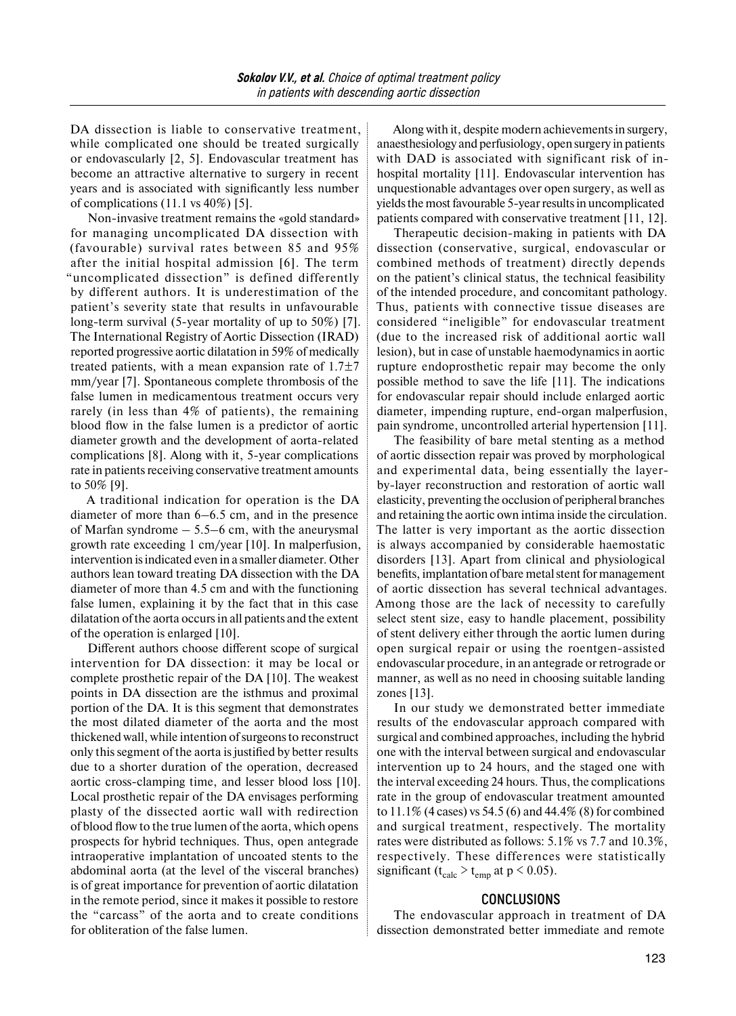DA dissection is liable to conservative treatment, while complicated one should be treated surgically or endovascularly [2, 5]. Endovascular treatment has become an attractive alternative to surgery in recent years and is associated with significantly less number of complications (11.1 vs 40%) [5].

Non-invasive treatment remains the «gold standard» for managing uncomplicated DA dissection with (favourable) survival rates between 85 and 95% after the initial hospital admission [6]. The term "uncomplicated dissection" is defined differently by different authors. It is underestimation of the patient's severity state that results in unfavourable long-term survival (5-year mortality of up to 50%) [7]. The International Registry of Aortic Dissection (IRAD) reported progressive aortic dilatation in 59% of medically treated patients, with a mean expansion rate of  $1.7\pm7$ mm/year [7]. Spontaneous complete thrombosis of the false lumen in medicamentous treatment occurs very rarely (in less than 4% of patients), the remaining blood flow in the false lumen is a predictor of aortic diameter growth and the development of aorta-related complications [8]. Along with it, 5-year complications rate in patients receiving conservative treatment amounts to 50% [9].

A traditional indication for operation is the DA diameter of more than 6–6.5 cm, and in the presence of Marfan syndrome  $-5.5-6$  cm, with the aneurysmal growth rate exceeding 1 cm/year [10]. In malperfusion, intervention isindicated even in a smaller diameter. Other authors lean toward treating DA dissection with the DA diameter of more than 4.5 cm and with the functioning false lumen, explaining it by the fact that in this case dilatation of the aorta occurs in all patients and the extent of the operation is enlarged [10].

Different authors choose different scope of surgical intervention for DA dissection: it may be local or complete prosthetic repair of the DA [10]. The weakest points in DA dissection are the isthmus and proximal portion of the DA. It is this segment that demonstrates the most dilated diameter of the aorta and the most thickened wall, while intention ofsurgeons to reconstruct only this segment of the aorta is justified by better results due to a shorter duration of the operation, decreased aortic cross-clamping time, and lesser blood loss [10]. Local prosthetic repair of the DA envisages performing plasty of the dissected aortic wall with redirection of blood flow to the true lumen of the aorta, which opens prospects for hybrid techniques. Thus, open antegrade intraoperative implantation of uncoated stents to the abdominal aorta (at the level of the visceral branches) is of great importance for prevention of aortic dilatation in the remote period, since it makes it possible to restore the "carcass" of the aorta and to create conditions for obliteration of the false lumen.

Along with it, despite modern achievements in surgery, anaesthesiology and perfusiology, open surgery in patients with DAD is associated with significant risk of inhospital mortality [11]. Endovascular intervention has unquestionable advantages over open surgery, as well as yields the most favourable 5-year results in uncomplicated patients compared with conservative treatment [11, 12].

Therapeutic decision-making in patients with DA dissection (conservative, surgical, endovascular or combined methods of treatment) directly depends on the patient's clinical status, the technical feasibility of the intended procedure, and concomitant pathology. Thus, patients with connective tissue diseases are considered "ineligible" for endovascular treatment (due to the increased risk of additional aortic wall lesion), but in case of unstable haemodynamics in aortic rupture endoprosthetic repair may become the only possible method to save the life [11]. The indications for endovascular repair should include enlarged aortic diameter, impending rupture, end-organ malperfusion, pain syndrome, uncontrolled arterial hypertension [11].

The feasibility of bare metal stenting as a method of aortic dissection repair was proved by morphological and experimental data, being essentially the layerby-layer reconstruction and restoration of aortic wall elasticity, preventing the occlusion of peripheral branches and retaining the aortic own intima inside the circulation. The latter is very important as the aortic dissection is always accompanied by considerable haemostatic disorders [13]. Apart from clinical and physiological benefits, implantation of bare metal stent for management of aortic dissection has several technical advantages. Among those are the lack of necessity to carefully select stent size, easy to handle placement, possibility of stent delivery either through the aortic lumen during open surgical repair or using the roentgen-assisted endovascular procedure, in an antegrade or retrograde or manner, as well as no need in choosing suitable landing zones [13].

In our study we demonstrated better immediate results of the endovascular approach compared with surgical and combined approaches, including the hybrid one with the interval between surgical and endovascular intervention up to 24 hours, and the staged one with the interval exceeding 24 hours. Thus, the complications rate in the group of endovascular treatment amounted to 11.1% (4 cases) vs 54.5 (6) and 44.4% (8) for combined and surgical treatment, respectively. The mortality rates were distributed as follows: 5.1% vs 7.7 and 10.3%, respectively. These differences were statistically significant ( $t_{calc} > t_{emp}$  at  $p < 0.05$ ).

#### **CONCLUSIONS**

The endovascular approach in treatment of DA dissection demonstrated better immediate and remote